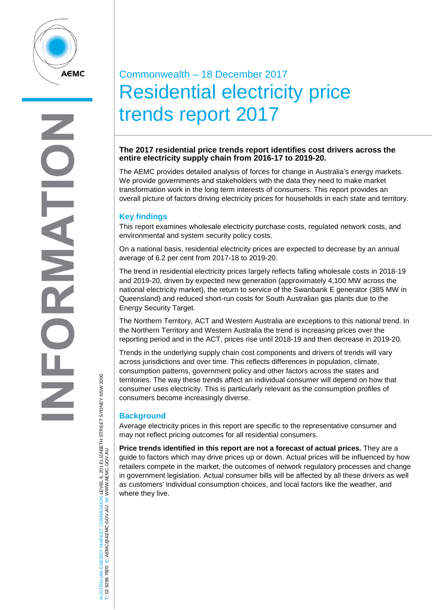

# **RNATI** DEN

# TRALIAN ENERGY MARKET COMMISSION LEVEL 6, 201 ELIZABETH STREET SYDNEY NSW 2000<br>8296 7800 E: AEMC@AEMC.GOV.AU W: WWW.AEMC.GOV.AU AUSTRALIAN ENERGY MARKET COMMISSION LEVEL 6, 201 ELIZABETH STREET SYDNEY NSW 2000 W: WWW.AEMC.GOV.AU T: 02 8296 7800 E: AEMC@AEMC.GOV.AU **ISL** i si

## Commonwealth – 18 December 2017 Residential electricity price trends report 2017

### **The 2017 residential price trends report identifies cost drivers across the entire electricity supply chain from 2016-17 to 2019-20.**

The AEMC provides detailed analysis of forces for change in Australia's energy markets. We provide governments and stakeholders with the data they need to make market transformation work in the long term interests of consumers. This report provides an overall picture of factors driving electricity prices for households in each state and territory.

### **Key findings**

This report examines wholesale electricity purchase costs, regulated network costs, and environmental and system security policy costs.

On a national basis, residential electricity prices are expected to decrease by an annual average of 6.2 per cent from 2017-18 to 2019-20.

The trend in residential electricity prices largely reflects falling wholesale costs in 2018-19 and 2019-20, driven by expected new generation (approximately 4,100 MW across the national electricity market), the return to service of the Swanbank E generator (385 MW in Queensland) and reduced short-run costs for South Australian gas plants due to the Energy Security Target.

The Northern Territory, ACT and Western Australia are exceptions to this national trend. In the Northern Territory and Western Australia the trend is increasing prices over the reporting period and in the ACT, prices rise until 2018-19 and then decrease in 2019-20.

Trends in the underlying supply chain cost components and drivers of trends will vary across jurisdictions and over time. This reflects differences in population, climate, consumption patterns, government policy and other factors across the states and territories. The way these trends affect an individual consumer will depend on how that consumer uses electricity. This is particularly relevant as the consumption profiles of consumers become increasingly diverse.

### **Background**

Average electricity prices in this report are specific to the representative consumer and may not reflect pricing outcomes for all residential consumers.

**Price trends identified in this report are not a forecast of actual prices.** They are a guide to factors which may drive prices up or down. Actual prices will be influenced by how retailers compete in the market, the outcomes of network regulatory processes and change in government legislation. Actual consumer bills will be affected by all these drivers as well as customers' individual consumption choices, and local factors like the weather, and where they live.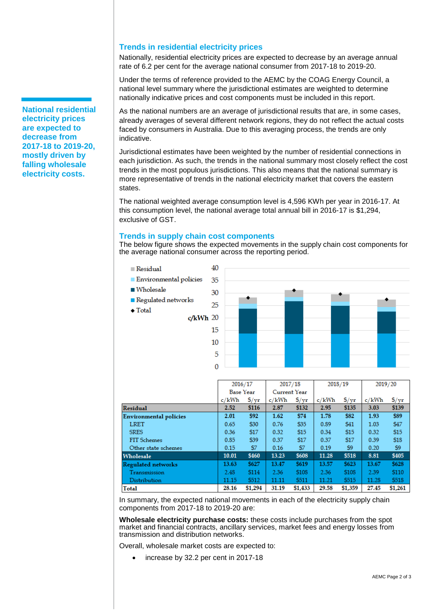### **Trends in residential electricity prices**

Nationally, residential electricity prices are expected to decrease by an average annual rate of 6.2 per cent for the average national consumer from 2017-18 to 2019-20.

Under the terms of reference provided to the AEMC by the COAG Energy Council, a national level summary where the jurisdictional estimates are weighted to determine nationally indicative prices and cost components must be included in this report.

As the national numbers are an average of jurisdictional results that are, in some cases, already averages of several different network regions, they do not reflect the actual costs faced by consumers in Australia. Due to this averaging process, the trends are only indicative.

Jurisdictional estimates have been weighted by the number of residential connections in each jurisdiction. As such, the trends in the national summary most closely reflect the cost trends in the most populous jurisdictions. This also means that the national summary is more representative of trends in the national electricity market that covers the eastern states.

The national weighted average consumption level is 4,596 KWh per year in 2016-17. At this consumption level, the national average total annual bill in 2016-17 is \$1,294, exclusive of GST.

### **Trends in supply chain cost components**

The below figure shows the expected movements in the supply chain cost components for the average national consumer across the reporting period.



|                           | 2016/17          |               | 2017/18      |               | 2018/19 |               | 2019/20 |               |
|---------------------------|------------------|---------------|--------------|---------------|---------|---------------|---------|---------------|
|                           | <b>Base Year</b> |               | Current Year |               |         |               |         |               |
|                           | c/kWh            | $\frac{f}{f}$ | c/kWh        | $\frac{f}{f}$ | c/kWh   | $\frac{f}{x}$ | c/kWh   | $\frac{f}{f}$ |
| Residual                  | 2.52             | \$116         | 2.87         | \$132         | 2.95    | \$135         | 3.03    | \$139         |
| Environmental policies    | 2.01             | \$92          | 1.62         | \$74          | 1.78    | \$82          | 1.93    | \$89          |
| <b>LRET</b>               | 0.65             | \$30          | 0.76         | \$35          | 0.89    | \$41          | 1.03    | \$47          |
| <b>SRES</b>               | 0.36             | \$17          | 0.32         | \$15          | 0.34    | \$15          | 0.32    | \$15          |
| FIT Schemes               | 0.85             | \$39          | 0.37         | \$17          | 0.37    | \$17          | 0.39    | \$18          |
| Other state schemes       | 0.15             | \$7           | 0.16         | \$7           | 0.19    | \$9           | 0.20    | \$9           |
| Wholesale                 | 10.01            | \$460         | 13.23        | \$608         | 11.28   | \$518         | 8.81    | \$405         |
| <b>Regulated networks</b> | 13.63            | \$627         | 13.47        | \$619         | 13.57   | \$623         | 13.67   | \$628         |
| Transmission              | 2.48             | \$114         | 2.36         | \$108         | 2.36    | \$108         | 2.39    | \$110         |
| Distribution              | 11.15            | \$512         | 11.11        | \$511         | 11.21   | \$515         | 11.28   | \$518         |
| Total                     | 28.16            | \$1,294       | 31.19        | \$1,433       | 29.58   | \$1,359       | 27.45   | \$1,261       |

In summary, the expected national movements in each of the electricity supply chain components from 2017-18 to 2019-20 are:

**Wholesale electricity purchase costs:** these costs include purchases from the spot market and financial contracts, ancillary services, market fees and energy losses from transmission and distribution networks.

Overall, wholesale market costs are expected to:

increase by 32.2 per cent in 2017-18

**National residential electricity prices are expected to decrease from 2017-18 to 2019-20, mostly driven by falling wholesale electricity costs.**